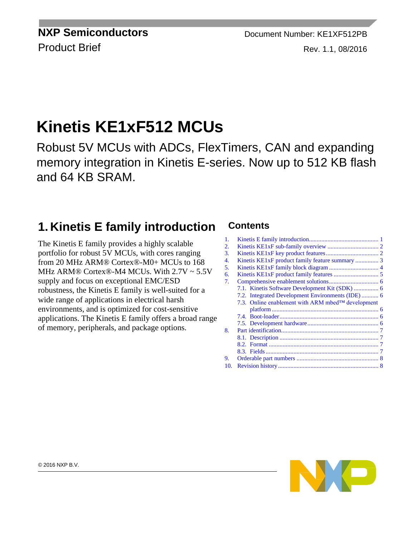**NXP Semiconductors** Document Number: KE1XF512PB

# Product Brief Rev. 1.1, 08/2016

# **Kinetis KE1xF512 MCUs**

Robust 5V MCUs with ADCs, FlexTimers, CAN and expanding memory integration in Kinetis E-series. Now up to 512 KB flash and 64 KB SRAM.

## **1. Kinetis E family introduction**

The Kinetis E family provides a highly scalable portfolio for robust 5V MCUs, with cores ranging from 20 MHz ARM® Cortex®-M0+ MCUs to 168 MHz ARM® Cortex®-M4 MCUs. With 2.7V ~ 5.5V supply and focus on exceptional EMC/ESD robustness, the Kinetis E family is well-suited for a wide range of applications in electrical harsh environments, and is optimized for cost-sensitive applications. The Kinetis E family offers a broad range of memory, peripherals, and package options.

#### **Contents**

<span id="page-0-0"></span>

| 1.  |                                                   |  |
|-----|---------------------------------------------------|--|
| 2.  |                                                   |  |
| 3.  |                                                   |  |
| 4.  |                                                   |  |
| 5.  |                                                   |  |
| 6.  |                                                   |  |
| 7.  |                                                   |  |
|     | 7.1. Kinetis Software Development Kit (SDK)  6    |  |
|     |                                                   |  |
|     | 7.3. Online enablement with ARM mbed™ development |  |
|     |                                                   |  |
|     |                                                   |  |
|     |                                                   |  |
| 8.  |                                                   |  |
|     |                                                   |  |
|     |                                                   |  |
|     |                                                   |  |
| 9.  |                                                   |  |
| 10. |                                                   |  |
|     |                                                   |  |

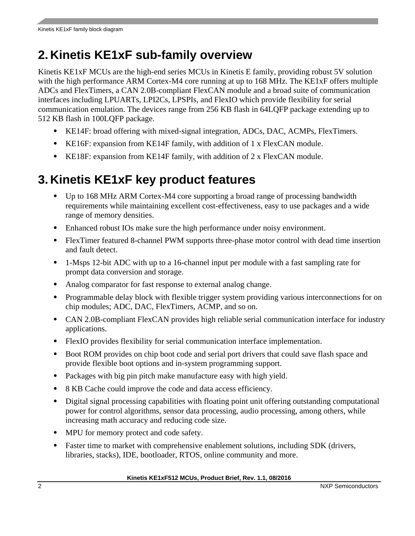# <span id="page-1-0"></span>**2. Kinetis KE1xF sub-family overview**

Kinetis KE1xF MCUs are the high-end series MCUs in Kinetis E family, providing robust 5V solution with the high performance ARM Cortex-M4 core running at up to 168 MHz. The KE1xF offers multiple ADCs and FlexTimers, a CAN 2.0B-compliant FlexCAN module and a broad suite of communication interfaces including LPUARTs, LPI2Cs, LPSPIs, and FlexIO which provide flexibility for serial communication emulation. The devices range from 256 KB flash in 64LQFP package extending up to 512 KB flash in 100LQFP package.

- KE14F: broad offering with mixed-signal integration, ADCs, DAC, ACMPs, FlexTimers.
- KE16F: expansion from KE14F family, with addition of 1 x FlexCAN module.
- KE18F: expansion from KE14F family, with addition of 2 x FlexCAN module.

# <span id="page-1-1"></span>**3. Kinetis KE1xF key product features**

- Up to 168 MHz ARM Cortex-M4 core supporting a broad range of processing bandwidth requirements while maintaining excellent cost-effectiveness, easy to use packages and a wide range of memory densities.
- Enhanced robust IOs make sure the high performance under noisy environment.
- FlexTimer featured 8-channel PWM supports three-phase motor control with dead time insertion and fault detect.
- 1-Msps 12-bit ADC with up to a 16-channel input per module with a fast sampling rate for prompt data conversion and storage.
- Analog comparator for fast response to external analog change.
- Programmable delay block with flexible trigger system providing various interconnections for on chip modules; ADC, DAC, FlexTimers, ACMP, and so on.
- CAN 2.0B-compliant FlexCAN provides high reliable serial communication interface for industry applications.
- FlexIO provides flexibility for serial communication interface implementation.
- Boot ROM provides on chip boot code and serial port drivers that could save flash space and provide flexible boot options and in-system programming support.
- Packages with big pin pitch make manufacture easy with high yield.
- 8 KB Cache could improve the code and data access efficiency.
- Digital signal processing capabilities with floating point unit offering outstanding computational power for control algorithms, sensor data processing, audio processing, among others, while increasing math accuracy and reducing code size.
- MPU for memory protect and code safety.
- Faster time to market with comprehensive enablement solutions, including SDK (drivers, libraries, stacks), IDE, bootloader, RTOS, online community and more.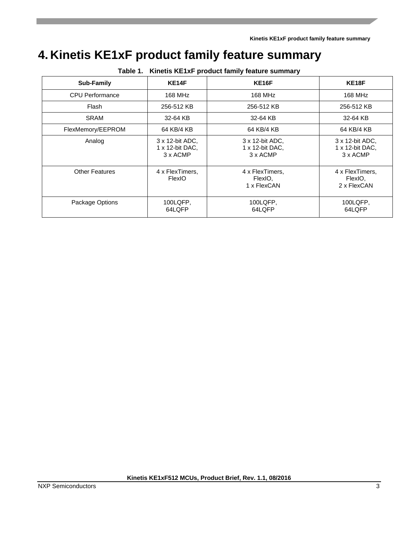**Kinetis KE1xF product family feature summary**

# <span id="page-2-0"></span>**4. Kinetis KE1xF product family feature summary**

| rable 1. Killeus KETAF product failing leature sufficially |                                                        |                                                |                                                        |  |  |
|------------------------------------------------------------|--------------------------------------------------------|------------------------------------------------|--------------------------------------------------------|--|--|
| <b>Sub-Family</b>                                          | KE14F                                                  | <b>KE16F</b>                                   | KE18F                                                  |  |  |
| <b>CPU Performance</b>                                     | 168 MHz                                                | 168 MHz                                        | 168 MHz                                                |  |  |
| Flash                                                      | 256-512 KB                                             | 256-512 KB                                     | 256-512 KB                                             |  |  |
| <b>SRAM</b>                                                | 32-64 KB                                               | 32-64 KB                                       | 32-64 KB                                               |  |  |
| FlexMemory/EEPROM                                          | 64 KB/4 KB                                             | 64 KB/4 KB                                     | 64 KB/4 KB                                             |  |  |
| Analog                                                     | 3 x 12-bit ADC.<br>$1 \times 12$ -bit DAC,<br>3 x ACMP | 3 x 12-bit ADC,<br>1 x 12-bit DAC,<br>3 x ACMP | 3 x 12-bit ADC,<br>$1 \times 12$ -bit DAC,<br>3 x ACMP |  |  |
| <b>Other Features</b>                                      | 4 x FlexTimers,<br><b>FlexIO</b>                       | 4 x FlexTimers,<br>FlexIO,<br>1 x FlexCAN      | 4 x FlexTimers,<br>FlexIO.<br>2 x FlexCAN              |  |  |
| Package Options                                            | 100LQFP,<br>64LQFP                                     | 100LQFP,<br>64LOFP                             | 100LQFP,<br>64LQFP                                     |  |  |

**Table 1. Kinetis KE1xF product family feature summary**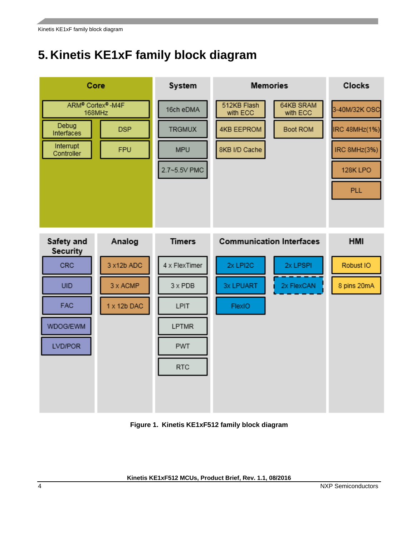# <span id="page-3-0"></span>**5. Kinetis KE1xF family block diagram**



**Figure 1. Kinetis KE1xF512 family block diagram**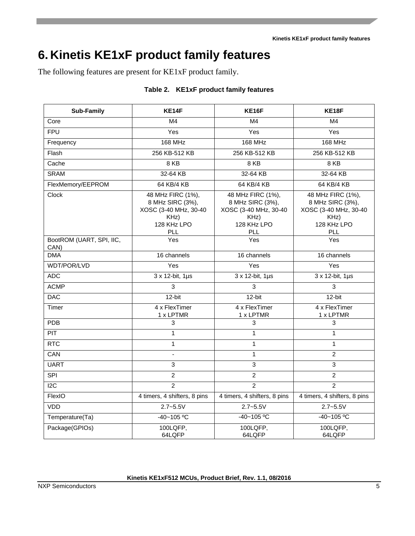# <span id="page-4-0"></span>**6. Kinetis KE1xF product family features**

The following features are present for KE1xF product family.

|  |  | Table 2. KE1xF product family features |
|--|--|----------------------------------------|
|  |  |                                        |

| <b>Sub-Family</b>                                                                                            | KE14F                         | <b>KE16F</b>                                                                                 | <b>KE18F</b>                                                                                 |  |
|--------------------------------------------------------------------------------------------------------------|-------------------------------|----------------------------------------------------------------------------------------------|----------------------------------------------------------------------------------------------|--|
| Core                                                                                                         | M <sub>4</sub>                | M4                                                                                           | M <sub>4</sub>                                                                               |  |
| <b>FPU</b>                                                                                                   | Yes                           | Yes                                                                                          | Yes                                                                                          |  |
| Frequency                                                                                                    | 168 MHz                       | <b>168 MHz</b>                                                                               | <b>168 MHz</b>                                                                               |  |
| Flash                                                                                                        | 256 KB-512 KB                 | 256 KB-512 KB                                                                                | 256 KB-512 KB                                                                                |  |
| Cache                                                                                                        | 8 KB                          | 8 KB                                                                                         | 8 KB                                                                                         |  |
| <b>SRAM</b>                                                                                                  | 32-64 KB                      | 32-64 KB                                                                                     | 32-64 KB                                                                                     |  |
| FlexMemory/EEPROM                                                                                            | 64 KB/4 KB                    | 64 KB/4 KB                                                                                   | 64 KB/4 KB                                                                                   |  |
| <b>Clock</b><br>48 MHz FIRC (1%),<br>8 MHz SIRC (3%),<br>XOSC (3-40 MHz, 30-40<br>KHz)<br>128 KHz LPO<br>PLL |                               | 48 MHz FIRC (1%),<br>8 MHz SIRC (3%),<br>XOSC (3-40 MHz, 30-40<br>KHz)<br>128 KHz LPO<br>PLL | 48 MHz FIRC (1%),<br>8 MHz SIRC (3%),<br>XOSC (3-40 MHz, 30-40<br>KHz)<br>128 KHz LPO<br>PLL |  |
| BootROM (UART, SPI, IIC,<br>CAN)                                                                             | Yes                           | Yes                                                                                          | Yes                                                                                          |  |
| <b>DMA</b>                                                                                                   | 16 channels                   | 16 channels                                                                                  | 16 channels                                                                                  |  |
| WDT/POR/LVD                                                                                                  | Yes                           | Yes                                                                                          | Yes                                                                                          |  |
| <b>ADC</b>                                                                                                   | $3 \times 12$ -bit, $1 \mu s$ | 3 x 12-bit, 1µs                                                                              | 3 x 12-bit, 1µs                                                                              |  |
| <b>ACMP</b>                                                                                                  | 3                             | 3                                                                                            | $\overline{3}$                                                                               |  |
| <b>DAC</b>                                                                                                   | 12-bit                        | 12-bit                                                                                       | 12-bit                                                                                       |  |
| Timer                                                                                                        | 4 x FlexTimer<br>1 x LPTMR    | 4 x FlexTimer<br>1 x LPTMR                                                                   | 4 x FlexTimer<br>1 x LPTMR                                                                   |  |
| <b>PDB</b>                                                                                                   | 3                             |                                                                                              | 3                                                                                            |  |
| PIT                                                                                                          | 1                             | $\mathbf{1}$                                                                                 | 1                                                                                            |  |
| <b>RTC</b>                                                                                                   | 1                             |                                                                                              | 1                                                                                            |  |
| CAN                                                                                                          | $\blacksquare$                |                                                                                              | $\overline{2}$                                                                               |  |
| <b>UART</b>                                                                                                  | 3                             | $\mathfrak{S}$                                                                               | 3                                                                                            |  |
| <b>SPI</b>                                                                                                   | $\overline{c}$                | $\overline{2}$                                                                               | $\overline{c}$                                                                               |  |
| $\overline{12C}$                                                                                             | $\overline{2}$                | $\overline{2}$                                                                               | $\overline{2}$                                                                               |  |
| FlexIO                                                                                                       | 4 timers, 4 shifters, 8 pins  | 4 timers, 4 shifters, 8 pins                                                                 | 4 timers, 4 shifters, 8 pins                                                                 |  |
| <b>VDD</b>                                                                                                   | $2.7 - 5.5V$                  | $2.7 - 5.5V$                                                                                 | $2.7 - 5.5V$                                                                                 |  |
| Temperature(Ta)                                                                                              | $-40 - 105$ °C                | $-40 - 105$ °C                                                                               | $-40 - 105$ °C                                                                               |  |
| Package(GPIOs)                                                                                               | 100LQFP,<br>64LQFP            | 100LQFP,<br>64LQFP                                                                           | 100LQFP,<br>64LQFP                                                                           |  |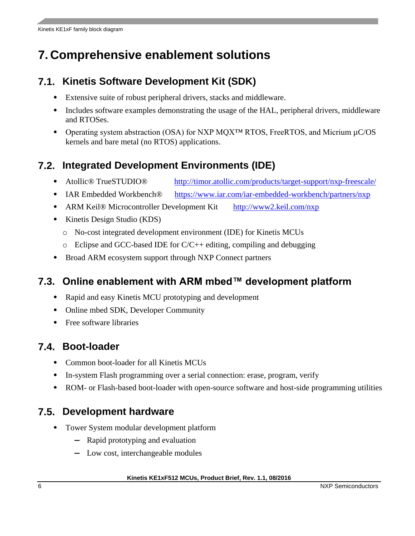# <span id="page-5-0"></span>**7. Comprehensive enablement solutions**

### <span id="page-5-1"></span>**7.1. Kinetis Software Development Kit (SDK)**

- Extensive suite of robust peripheral drivers, stacks and middleware.
- Includes software examples demonstrating the usage of the HAL, peripheral drivers, middleware and RTOSes.
- Operating system abstraction (OSA) for NXP MQX™ RTOS, FreeRTOS, and Micrium µC/OS kernels and bare metal (no RTOS) applications.

## <span id="page-5-2"></span>**7.2. Integrated Development Environments (IDE)**

- Atollic<sup>®</sup> TrueSTUDIO<sup>®</sup> http://timor.atollic.com/products/target-support/nxp-freescale/
- IAR Embedded Workbench<sup>®</sup> https://www.iar.com/iar-embedded-workbench/partners/nxp
- ARM Keil® Microcontroller Development Kit http://www2.keil.com/nxp
- Kinetis Design Studio (KDS)
	- o No-cost integrated development environment (IDE) for Kinetis MCUs
	- $\circ$  Eclipse and GCC-based IDE for C/C++ editing, compiling and debugging
- Broad ARM ecosystem support through NXP Connect partners

### <span id="page-5-3"></span>**7.3. Online enablement with ARM mbed™ development platform**

- Rapid and easy Kinetis MCU prototyping and development
- Online mbed SDK, Developer Community
- Free software libraries

### <span id="page-5-4"></span>**7.4. Boot-loader**

- Common boot-loader for all Kinetis MCUs
- In-system Flash programming over a serial connection: erase, program, verify
- ROM- or Flash-based boot-loader with open-source software and host-side programming utilities

### <span id="page-5-5"></span>**7.5. Development hardware**

- Tower System modular development platform
	- **—** Rapid prototyping and evaluation
	- **—** Low cost, interchangeable modules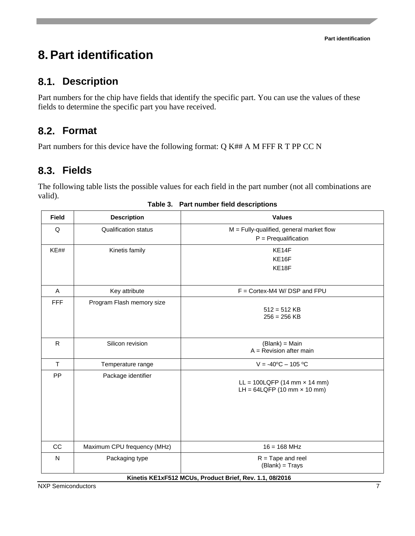# <span id="page-6-0"></span>**8.Part identification**

#### <span id="page-6-1"></span>**8.1. Description**

Part numbers for the chip have fields that identify the specific part. You can use the values of these fields to determine the specific part you have received.

## <span id="page-6-2"></span>**8.2. Format**

<span id="page-6-3"></span>Part numbers for this device have the following format: Q K## A M FFF R T PP CC N

### **8.3. Fields**

The following table lists the possible values for each field in the part number (not all combinations are valid).

| <b>Field</b>                                            | <b>Description</b>          | <b>Values</b>                                                        |  |  |  |
|---------------------------------------------------------|-----------------------------|----------------------------------------------------------------------|--|--|--|
| Q                                                       | <b>Qualification status</b> | $M =$ Fully-qualified, general market flow<br>$P = Prequalification$ |  |  |  |
| KE##                                                    | Kinetis family              | KE14F                                                                |  |  |  |
|                                                         |                             | KE16F                                                                |  |  |  |
|                                                         |                             | KE18F                                                                |  |  |  |
| A                                                       | Key attribute               | $F =$ Cortex-M4 W/DSP and FPU                                        |  |  |  |
| <b>FFF</b>                                              | Program Flash memory size   | $512 = 512$ KB<br>$256 = 256$ KB                                     |  |  |  |
| $\mathsf{R}$                                            | Silicon revision            | (Blank) = Main<br>$A =$ Revision after main                          |  |  |  |
| $\mathsf T$                                             | Temperature range           | $V = -40^{\circ}C - 105^{\circ}C$                                    |  |  |  |
| PP                                                      | Package identifier          | $LL = 100LQFP (14 mm × 14 mm)$<br>LH = $64LQFP (10 mm \times 10 mm)$ |  |  |  |
| CC                                                      | Maximum CPU frequency (MHz) | $16 = 168$ MHz                                                       |  |  |  |
| N                                                       | Packaging type              | $R = \text{Tape}$ and reel<br>(Blank) = Trays                        |  |  |  |
| Kinetis KE1xF512 MCUs, Product Brief, Rev. 1.1, 08/2016 |                             |                                                                      |  |  |  |

**Table 3. Part number field descriptions**

NXP Semiconductors 7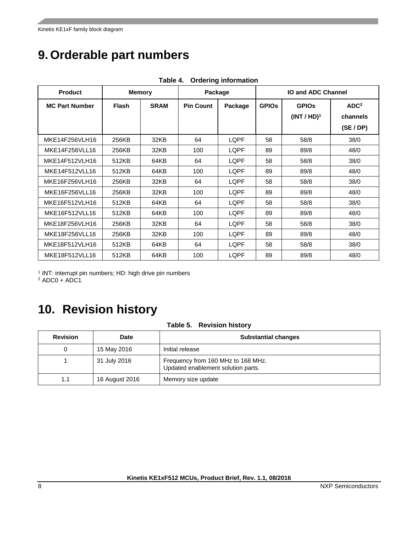# <span id="page-7-0"></span>**9. Orderable part numbers**

| <b>Product</b><br><b>Memory</b> |              | Package     |                  | <b>IO and ADC Channel</b> |              |                |                  |
|---------------------------------|--------------|-------------|------------------|---------------------------|--------------|----------------|------------------|
| <b>MC Part Number</b>           | <b>Flash</b> | <b>SRAM</b> | <b>Pin Count</b> | Package                   | <b>GPIOS</b> | <b>GPIOS</b>   | ADC <sup>2</sup> |
|                                 |              |             |                  |                           |              | $(INT / HD)^1$ | channels         |
|                                 |              |             |                  |                           |              |                | (SE/DP)          |
| MKE14F256VLH16                  | 256KB        | 32KB        | 64               | LQPF                      | 58           | 58/8           | 38/0             |
| MKE14F256VLL16                  | 256KB        | 32KB        | 100              | LQPF                      | 89           | 89/8           | 48/0             |
| MKE14F512VLH16                  | 512KB        | 64KB        | 64               | LQPF                      | 58           | 58/8           | 38/0             |
| MKE14F512VLL16                  | 512KB        | 64KB        | 100              | LOPF                      | 89           | 89/8           | 48/0             |
| MKE16F256VLH16                  | 256KB        | 32KB        | 64               | LQPF                      | 58           | 58/8           | 38/0             |
| MKE16F256VLL16                  | 256KB        | 32KB        | 100              | LQPF                      | 89           | 89/8           | 48/0             |
| MKE16F512VLH16                  | 512KB        | 64KB        | 64               | LQPF                      | 58           | 58/8           | 38/0             |
| MKE16F512VLL16                  | 512KB        | 64KB        | 100              | LQPF                      | 89           | 89/8           | 48/0             |
| MKE18F256VLH16                  | 256KB        | 32KB        | 64               | LOPF                      | 58           | 58/8           | 38/0             |
| MKE18F256VLL16                  | 256KB        | 32KB        | 100              | LQPF                      | 89           | 89/8           | 48/0             |
| MKE18F512VLH16                  | 512KB        | 64KB        | 64               | LQPF                      | 58           | 58/8           | 38/0             |
| MKE18F512VLL16                  | 512KB        | 64KB        | 100              | LQPF                      | 89           | 89/8           | 48/0             |

**Table 4. Ordering information**

<sup>1</sup> INT: interrupt pin numbers; HD: high drive pin numbers

 $2$  ADC0 + ADC1

# <span id="page-7-1"></span>**10. Revision history**

#### **Table 5. Revision history**

| <b>Revision</b> | <b>Date</b>    | <b>Substantial changes</b>                                               |
|-----------------|----------------|--------------------------------------------------------------------------|
| O               | 15 May 2016    | Initial release                                                          |
|                 | 31 July 2016   | Frequency from 160 MHz to 168 MHz.<br>Updated enablement solution parts. |
| 1.1             | 16 August 2016 | Memory size update                                                       |